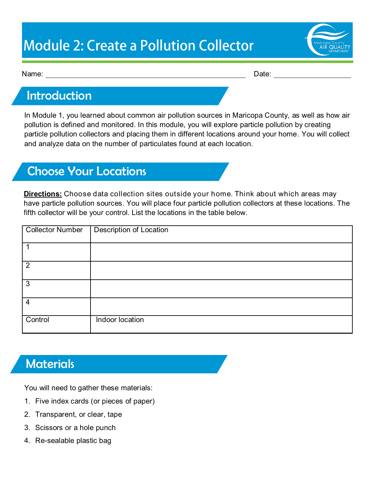# **Module 2: Create a Pollution Collector**



Name: Date:

### Introduction

In Module 1, you learned about common air pollution sources in Maricopa County, as well as how air pollution is defined and monitored. In this module, you will explore particle pollution by creating particle pollution collectors and placing them in different locations around your home. You will collect and analyze data on the number of particulates found at each location.

### Choose Your Locations

**Directions:** Choose data collection sites outside your home. Think about which areas may have particle pollution sources. You will place four particle pollution collectors at these locations. The fifth collector will be your control. List the locations in the table below.

| Collector Number | <b>Description of Location</b> |
|------------------|--------------------------------|
|                  |                                |
| $\overline{2}$   |                                |
| 3                |                                |
| $\overline{4}$   |                                |
| Control          | Indoor location                |

### **Materials**

You will need to gather these materials:

- 1. Five index cards (or pieces of paper)
- 2. Transparent, or clear, tape
- 3. Scissors or a hole punch
- 4. Re-sealable plastic bag